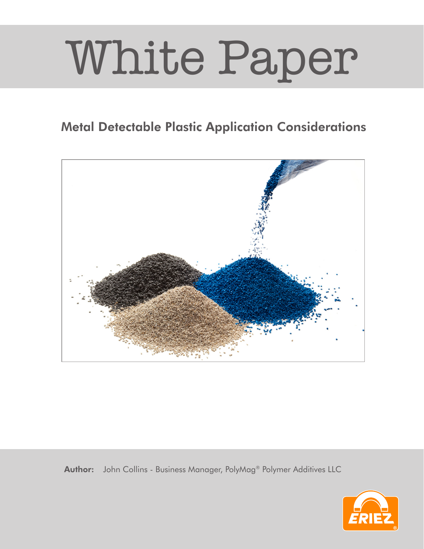## White Paper

## Metal Detectable Plastic Application Considerations